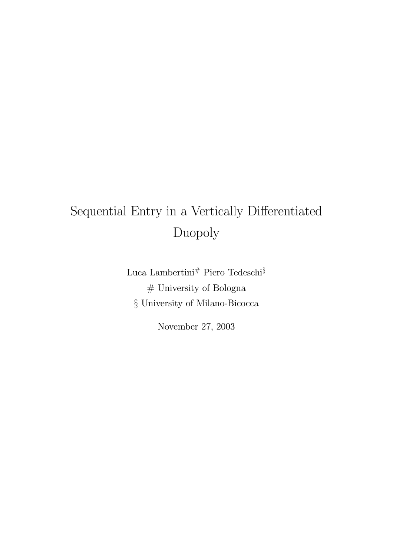# Sequential Entry in a Vertically Differentiated Duopoly

Luca Lambertini# Piero Tedeschi $\S$  $\#$  University of Bologna § University of Milano-Bicocca

November 27, 2003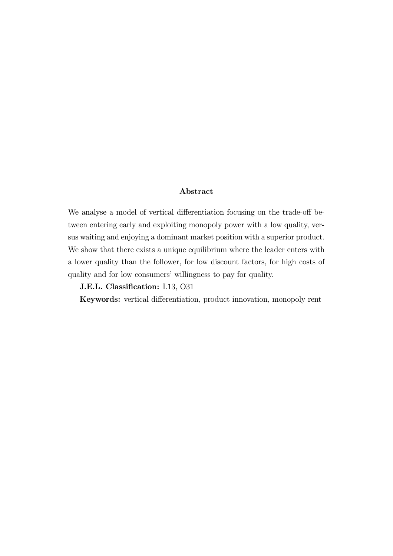### Abstract

We analyse a model of vertical differentiation focusing on the trade-off between entering early and exploiting monopoly power with a low quality, versus waiting and enjoying a dominant market position with a superior product. We show that there exists a unique equilibrium where the leader enters with a lower quality than the follower, for low discount factors, for high costs of quality and for low consumers' willingness to pay for quality.

J.E.L. Classification: L13, O31

Keywords: vertical differentiation, product innovation, monopoly rent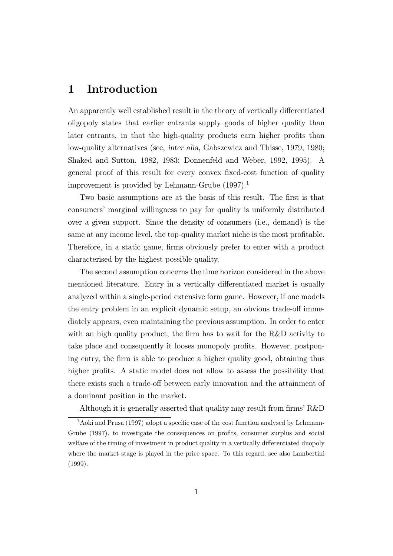# 1 Introduction

An apparently well established result in the theory of vertically differentiated oligopoly states that earlier entrants supply goods of higher quality than later entrants, in that the high-quality products earn higher profits than low-quality alternatives (see, inter alia, Gabszewicz and Thisse, 1979, 1980; Shaked and Sutton, 1982, 1983; Donnenfeld and Weber, 1992, 1995). A general proof of this result for every convex fixed-cost function of quality improvement is provided by Lehmann-Grube  $(1997).<sup>1</sup>$ 

Two basic assumptions are at the basis of this result. The first is that consumers' marginal willingness to pay for quality is uniformly distributed over a given support. Since the density of consumers (i.e., demand) is the same at any income level, the top-quality market niche is the most profitable. Therefore, in a static game, firms obviously prefer to enter with a product characterised by the highest possible quality.

The second assumption concerns the time horizon considered in the above mentioned literature. Entry in a vertically differentiated market is usually analyzed within a single-period extensive form game. However, if one models the entry problem in an explicit dynamic setup, an obvious trade-off immediately appears, even maintaining the previous assumption. In order to enter with an high quality product, the firm has to wait for the R&D activity to take place and consequently it looses monopoly profits. However, postponing entry, the firm is able to produce a higher quality good, obtaining thus higher profits. A static model does not allow to assess the possibility that there exists such a trade-off between early innovation and the attainment of a dominant position in the market.

Although it is generally asserted that quality may result from firms' R&D

<sup>&</sup>lt;sup>1</sup>Aoki and Prusa (1997) adopt a specific case of the cost function analysed by Lehmann-Grube (1997), to investigate the consequences on profits, consumer surplus and social welfare of the timing of investment in product quality in a vertically differentiated duopoly where the market stage is played in the price space. To this regard, see also Lambertini (1999).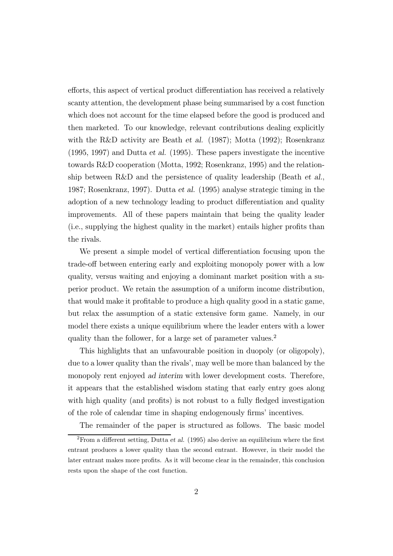efforts, this aspect of vertical product differentiation has received a relatively scanty attention, the development phase being summarised by a cost function which does not account for the time elapsed before the good is produced and then marketed. To our knowledge, relevant contributions dealing explicitly with the R&D activity are Beath *et al.* (1987); Motta (1992); Rosenkranz (1995, 1997) and Dutta et al. (1995). These papers investigate the incentive towards R&D cooperation (Motta, 1992; Rosenkranz, 1995) and the relationship between R&D and the persistence of quality leadership (Beath et al., 1987; Rosenkranz, 1997). Dutta et al. (1995) analyse strategic timing in the adoption of a new technology leading to product differentiation and quality improvements. All of these papers maintain that being the quality leader (i.e., supplying the highest quality in the market) entails higher profits than the rivals.

We present a simple model of vertical differentiation focusing upon the trade-off between entering early and exploiting monopoly power with a low quality, versus waiting and enjoying a dominant market position with a superior product. We retain the assumption of a uniform income distribution, that would make it profitable to produce a high quality good in a static game, but relax the assumption of a static extensive form game. Namely, in our model there exists a unique equilibrium where the leader enters with a lower quality than the follower, for a large set of parameter values.<sup>2</sup>

This highlights that an unfavourable position in duopoly (or oligopoly), due to a lower quality than the rivals', may well be more than balanced by the monopoly rent enjoyed ad interim with lower development costs. Therefore, it appears that the established wisdom stating that early entry goes along with high quality (and profits) is not robust to a fully fledged investigation of the role of calendar time in shaping endogenously firms' incentives.

The remainder of the paper is structured as follows. The basic model

 $2$ From a different setting, Dutta et al. (1995) also derive an equilibrium where the first entrant produces a lower quality than the second entrant. However, in their model the later entrant makes more profits. As it will become clear in the remainder, this conclusion rests upon the shape of the cost function.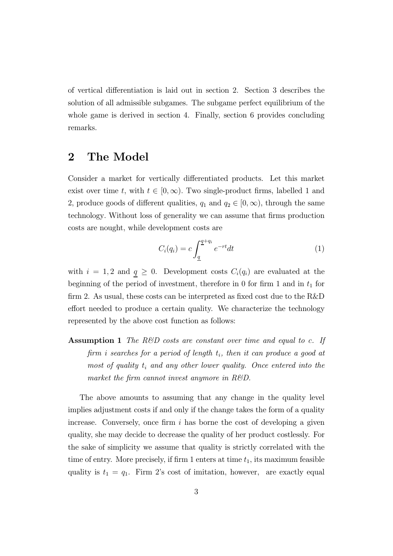of vertical differentiation is laid out in section 2. Section 3 describes the solution of all admissible subgames. The subgame perfect equilibrium of the whole game is derived in section 4. Finally, section 6 provides concluding remarks.

## 2 The Model

Consider a market for vertically differentiated products. Let this market exist over time t, with  $t \in [0,\infty)$ . Two single-product firms, labelled 1 and 2, produce goods of different qualities,  $q_1$  and  $q_2 \in [0, \infty)$ , through the same technology. Without loss of generality we can assume that firms production costs are nought, while development costs are

$$
C_i(q_i) = c \int_{\underline{q}}^{\underline{q}+q_i} e^{-rt} dt \tag{1}
$$

with  $i = 1, 2$  and  $q \ge 0$ . Development costs  $C_i(q_i)$  are evaluated at the beginning of the period of investment, therefore in 0 for firm 1 and in  $t_1$  for firm 2. As usual, these costs can be interpreted as fixed cost due to the R&D effort needed to produce a certain quality. We characterize the technology represented by the above cost function as follows:

**Assumption 1** The R&D costs are constant over time and equal to c. If firm i searches for a period of length  $t_i$ , then it can produce a good at most of quality  $t_i$  and any other lower quality. Once entered into the market the firm cannot invest anymore in  $R\&D$ .

The above amounts to assuming that any change in the quality level implies adjustment costs if and only if the change takes the form of a quality increase. Conversely, once firm  $i$  has borne the cost of developing a given quality, she may decide to decrease the quality of her product costlessly. For the sake of simplicity we assume that quality is strictly correlated with the time of entry. More precisely, if firm 1 enters at time  $t_1$ , its maximum feasible quality is  $t_1 = q_1$ . Firm 2's cost of imitation, however, are exactly equal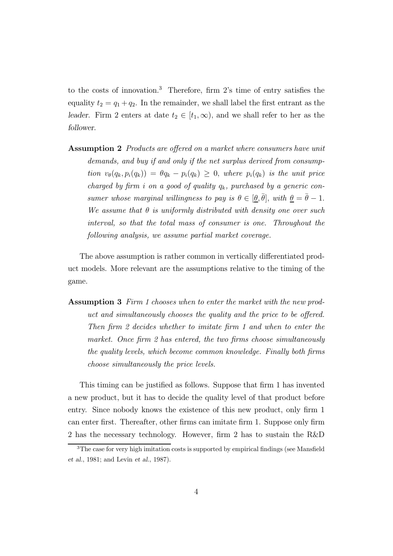to the costs of innovation.<sup>3</sup> Therefore, firm 2's time of entry satisfies the equality  $t_2 = q_1 + q_2$ . In the remainder, we shall label the first entrant as the leader. Firm 2 enters at date  $t_2 \in [t_1,\infty)$ , and we shall refer to her as the follower.

Assumption 2 Products are offered on a market where consumers have unit demands, and buy if and only if the net surplus derived from consumption  $v_{\theta}(q_k, p_i(q_k)) = \theta q_k - p_i(q_k) \geq 0$ , where  $p_i(q_k)$  is the unit price charged by firm i on a good of quality  $q_k$ , purchased by a generic consumer whose marginal willingness to pay is  $\theta \in [\theta, \bar{\theta}],$  with  $\theta = \bar{\theta} - 1$ . We assume that  $\theta$  is uniformly distributed with density one over such interval, so that the total mass of consumer is one. Throughout the following analysis, we assume partial market coverage.

The above assumption is rather common in vertically differentiated product models. More relevant are the assumptions relative to the timing of the game.

Assumption 3 Firm 1 chooses when to enter the market with the new product and simultaneously chooses the quality and the price to be offered. Then firm 2 decides whether to imitate firm 1 and when to enter the market. Once firm 2 has entered, the two firms choose simultaneously the quality levels, which become common knowledge. Finally both firms choose simultaneously the price levels.

This timing can be justified as follows. Suppose that firm 1 has invented a new product, but it has to decide the quality level of that product before entry. Since nobody knows the existence of this new product, only firm 1 can enter first. Thereafter, other firms can imitate firm 1. Suppose only firm 2 has the necessary technology. However, firm 2 has to sustain the R&D

<sup>&</sup>lt;sup>3</sup>The case for very high imitation costs is supported by empirical findings (see Mansfield et al., 1981; and Levin et al., 1987).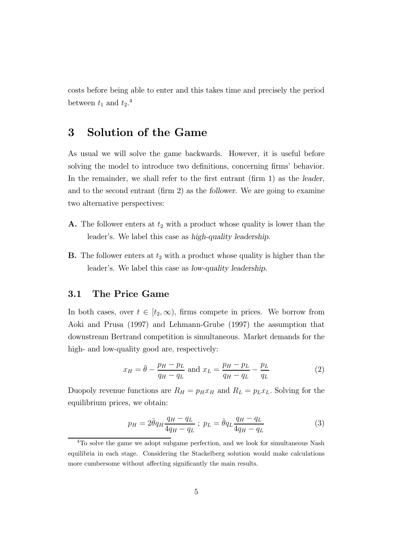costs before being able to enter and this takes time and precisely the period between  $t_1$  and  $t_2$ <sup>4</sup>

## 3 Solution of the Game

As usual we will solve the game backwards. However, it is useful before solving the model to introduce two definitions, concerning firms' behavior. In the remainder, we shall refer to the first entrant (firm 1) as the leader, and to the second entrant (firm 2) as the follower. We are going to examine two alternative perspectives:

- **A.** The follower enters at  $t_2$  with a product whose quality is lower than the leader's. We label this case as high-quality leadership.
- **B.** The follower enters at  $t_2$  with a product whose quality is higher than the leader's. We label this case as low-quality leadership.

### 3.1 The Price Game

In both cases, over  $t \in [t_2, \infty)$ , firms compete in prices. We borrow from Aoki and Prusa (1997) and Lehmann-Grube (1997) the assumption that downstream Bertrand competition is simultaneous. Market demands for the high- and low-quality good are, respectively:

$$
x_H = \bar{\theta} - \frac{p_H - p_L}{q_H - q_L}
$$
 and  $x_L = \frac{p_H - p_L}{q_H - q_L} - \frac{p_L}{q_L}$  (2)

Duopoly revenue functions are  $R_H = p_H x_H$  and  $R_L = p_L x_L$ . Solving for the equilibrium prices, we obtain:

$$
p_H = 2\bar{\theta}q_H \frac{q_H - q_L}{4q_H - q_L} \; ; \; p_L = \bar{\theta}q_L \frac{q_H - q_L}{4q_H - q_L} \tag{3}
$$

<sup>&</sup>lt;sup>4</sup>To solve the game we adopt subgame perfection, and we look for simultaneous Nash equilibria in each stage. Considering the Stackelberg solution would make calculations more cumbersome without affecting significantly the main results.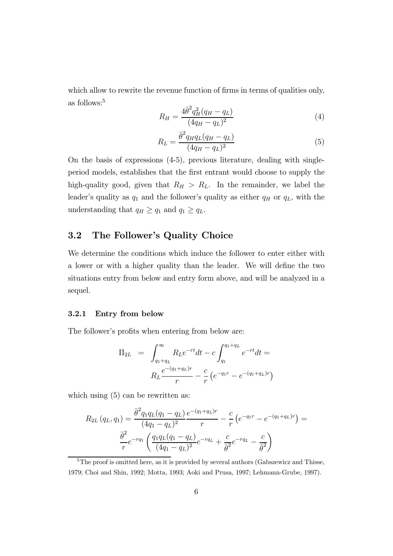which allow to rewrite the revenue function of firms in terms of qualities only, as follows:<sup>5</sup>

$$
R_H = \frac{4\bar{\theta}^2 q_H^2 (q_H - q_L)}{(4q_H - q_L)^2} \tag{4}
$$

$$
R_L = \frac{\bar{\theta}^2 q_H q_L (q_H - q_L)}{(4q_H - q_L)^2} \tag{5}
$$

On the basis of expressions (4-5), previous literature, dealing with singleperiod models, establishes that the first entrant would choose to supply the high-quality good, given that  $R_H > R_L$ . In the remainder, we label the leader's quality as  $q_1$  and the follower's quality as either  $q_H$  or  $q_L$ , with the understanding that  $q_H \ge q_1$  and  $q_1 \ge q_L$ .

## 3.2 The Follower's Quality Choice

We determine the conditions which induce the follower to enter either with a lower or with a higher quality than the leader. We will define the two situations entry from below and entry form above, and will be analyzed in a sequel.

#### 3.2.1 Entry from below

The follower's profits when entering from below are:

$$
\Pi_{2L} = \int_{q_1+q_L}^{\infty} R_L e^{-rt} dt - c \int_{q_1}^{q_1+q_L} e^{-rt} dt =
$$

$$
R_L \frac{e^{-(q_1+q_L)r}}{r} - \frac{c}{r} \left( e^{-q_1r} - e^{-(q_1+q_L)r} \right)
$$

which using  $(5)$  can be rewritten as:

$$
R_{2L}(q_L, q_1) = \frac{\bar{\theta}^2 q_1 q_L (q_1 - q_L)}{(4q_1 - q_L)^2} \frac{e^{-(q_1 + q_L)r}}{r} - \frac{c}{r} \left( e^{-q_1 r} - e^{-(q_1 + q_L)r} \right) = \frac{\bar{\theta}^2}{r} e^{-r q_1} \left( \frac{q_1 q_L (q_1 - q_L)}{(4q_1 - q_L)^2} e^{-r q_L} + \frac{c}{\bar{\theta}^2} e^{-r q_L} - \frac{c}{\bar{\theta}^2} \right)
$$

<sup>&</sup>lt;sup>5</sup>The proof is omitted here, as it is provided by several authors (Gabszewicz and Thisse, 1979; Choi and Shin, 1992; Motta, 1993; Aoki and Prusa, 1997; Lehmann-Grube, 1997).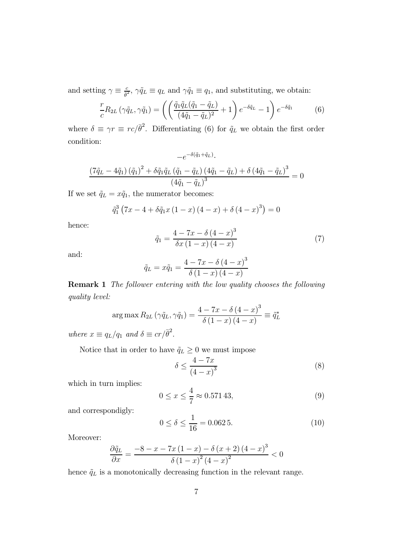and setting  $\gamma \equiv \frac{c}{\bar{\theta}^2}$ ,  $\gamma \tilde{q}_L \equiv q_L$  and  $\gamma \tilde{q}_1 \equiv q_1$ , and substituting, we obtain:

$$
\frac{r}{c}R_{2L}\left(\gamma\tilde{q}_L,\gamma\tilde{q}_1\right) = \left(\left(\frac{\tilde{q}_1\tilde{q}_L(\tilde{q}_1 - \tilde{q}_L)}{(4\tilde{q}_1 - \tilde{q}_L)^2} + 1\right)e^{-\delta\tilde{q}_L} - 1\right)e^{-\delta\tilde{q}_1} \tag{6}
$$

where  $\delta \equiv \gamma r \equiv r c/\bar{\theta}^2$ . Differentiating (6) for  $\tilde{q}_L$  we obtain the first order condition:

$$
-e^{-\delta(\tilde{q}_1 + \tilde{q}_L)}.
$$
  

$$
\frac{(7\tilde{q}_L - 4\tilde{q}_1)(\tilde{q}_1)^2 + \delta\tilde{q}_1\tilde{q}_L(\tilde{q}_1 - \tilde{q}_L)(4\tilde{q}_1 - \tilde{q}_L) + \delta(4\tilde{q}_1 - \tilde{q}_L)^3}{(4\tilde{q}_1 - \tilde{q}_L)^3} = 0
$$

If we set  $\tilde{q}_L = x\tilde{q}_1$ , the numerator becomes:

$$
\tilde{q}_1^3 (7x - 4 + \delta \tilde{q}_1 x (1 - x) (4 - x) + \delta (4 - x)^3) = 0
$$

hence:

$$
\tilde{q}_1 = \frac{4 - 7x - \delta (4 - x)^3}{\delta x (1 - x) (4 - x)}
$$
\n(7)

and:

$$
\tilde{q}_L = x\tilde{q}_1 = \frac{4 - 7x - \delta (4 - x)^3}{\delta (1 - x) (4 - x)}
$$

Remark 1 The follower entering with the low quality chooses the following quality level:

$$
\arg\max R_{2L} \left( \gamma \tilde{q}_L, \gamma \tilde{q}_1 \right) = \frac{4 - 7x - \delta (4 - x)^3}{\delta (1 - x) (4 - x)} \equiv \tilde{q}_L^*
$$

where  $x \equiv q_L/q_1$  and  $\delta \equiv cr/\bar{\theta}^2$ .

Notice that in order to have  $\tilde{q}_L \geq 0$  we must impose

$$
\delta \le \frac{4 - 7x}{\left(4 - x\right)^3} \tag{8}
$$

which in turn implies:

$$
0 \le x \le \frac{4}{7} \approx 0.57143,\tag{9}
$$

and correspondigly:

$$
0 \le \delta \le \frac{1}{16} = 0.0625. \tag{10}
$$

Moreover:

$$
\frac{\partial \tilde{q}_{L}}{\partial x} = \frac{-8 - x - 7x(1 - x) - \delta (x + 2)(4 - x)^{3}}{\delta (1 - x)^{2} (4 - x)^{2}} < 0
$$

hence  $\tilde{q}_L$  is a monotonically decreasing function in the relevant range.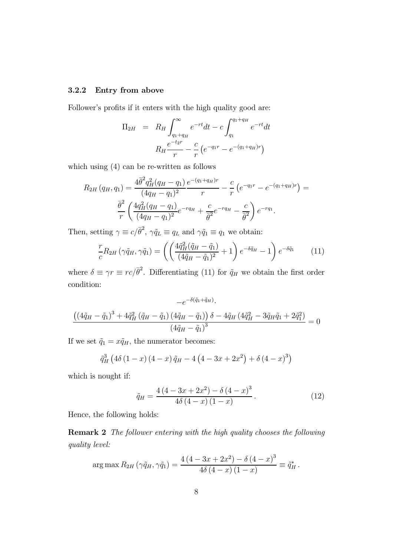### 3.2.2 Entry from above

Follower's profits if it enters with the high quality good are:

$$
\Pi_{2H} = R_H \int_{q_1 + q_H}^{\infty} e^{-rt} dt - c \int_{q_1}^{q_1 + q_H} e^{-rt} dt
$$

$$
R_H \frac{e^{-t_{2r}}}{r} - \frac{c}{r} \left( e^{-q_1 r} - e^{-(q_1 + q_H)r} \right)
$$

which using (4) can be re-written as follows

$$
R_{2H}(q_H, q_1) = \frac{4\bar{\theta}^2 q_H^2 (q_H - q_1)}{(4q_H - q_1)^2} \frac{e^{-(q_1 + q_H)r}}{r} - \frac{c}{r} \left( e^{-q_1 r} - e^{-(q_1 + q_H)r} \right) = \frac{\bar{\theta}^2}{r} \left( \frac{4q_H^2 (q_H - q_1)}{(4q_H - q_1)^2} e^{-r q_H} + \frac{c}{\bar{\theta}^2} e^{-r q_H} - \frac{c}{\bar{\theta}^2} \right) e^{-r q_1}.
$$

Then, setting  $\gamma \equiv c/\bar{\theta}^2$ ,  $\gamma \tilde{q}_L \equiv q_L$  and  $\gamma \tilde{q}_1 \equiv q_1$  we obtain:

$$
\frac{r}{c}R_{2H}\left(\gamma\tilde{q}_H,\gamma\tilde{q}_1\right) = \left(\left(\frac{4\tilde{q}_H^2(\tilde{q}_H - \tilde{q}_1)}{(4\tilde{q}_H - \tilde{q}_1)^2} + 1\right)e^{-\delta\tilde{q}_H} - 1\right)e^{-\delta\tilde{q}_1} \tag{11}
$$

where  $\delta \equiv \gamma r \equiv r c/\bar{\theta}^2$ . Differentiating (11) for  $\tilde{q}_H$  we obtain the first order condition:

$$
-e^{-\delta(\tilde{q}_1+\tilde{q}_H)}.
$$

$$
\frac{\left((4\tilde{q}_H-\tilde{q}_1)^3+4\tilde{q}_H^2(\tilde{q}_H-\tilde{q}_1)(4\tilde{q}_H-\tilde{q}_1)\right)\delta-4\tilde{q}_H(4\tilde{q}_H^2-3\tilde{q}_H\tilde{q}_1+2\tilde{q}_1^2)}{(4\tilde{q}_H-\tilde{q}_1)^3}=0
$$

If we set  $\tilde{q}_1 = x\tilde{q}_H$ , the numerator becomes:

$$
\tilde{q}_{H}^{3}\left(4\delta\left(1-x\right)\left(4-x\right)\tilde{q}_{H}-4\left(4-3x+2x^{2}\right)+\delta\left(4-x\right)^{3}\right)
$$

which is nought if:

$$
\tilde{q}_H = \frac{4(4 - 3x + 2x^2) - \delta(4 - x)^3}{4\delta(4 - x)(1 - x)}.
$$
\n(12)

Hence, the following holds:

Remark 2 The follower entering with the high quality chooses the following quality level:

$$
\arg \max R_{2H} (\gamma \tilde{q}_H, \gamma \tilde{q}_1) = \frac{4 (4 - 3x + 2x^2) - \delta (4 - x)^3}{4 \delta (4 - x) (1 - x)} \equiv \tilde{q}_H^*.
$$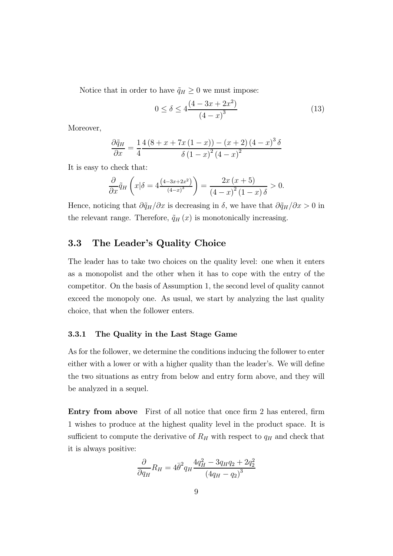Notice that in order to have  $\tilde{q}_H \geq 0$  we must impose:

$$
0 \le \delta \le 4 \frac{(4 - 3x + 2x^2)}{(4 - x)^3} \tag{13}
$$

Moreover,

$$
\frac{\partial \tilde{q}_H}{\partial x} = \frac{1}{4} \frac{4 (8 + x + 7x (1 - x)) - (x + 2) (4 - x)^3 \delta}{\delta (1 - x)^2 (4 - x)^2}
$$

It is easy to check that:

$$
\frac{\partial}{\partial x}\tilde{q}_H\left(x|\delta=4\frac{\left(4-3x+2x^2\right)}{\left(4-x\right)^3}\right)=\frac{2x\left(x+5\right)}{\left(4-x\right)^2\left(1-x\right)\delta}>0.
$$

Hence, noticing that  $\partial \tilde{q}_H/\partial x$  is decreasing in  $\delta$ , we have that  $\partial \tilde{q}_H/\partial x > 0$  in the relevant range. Therefore,  $\tilde{q}_H(x)$  is monotonically increasing.

## 3.3 The Leader's Quality Choice

The leader has to take two choices on the quality level: one when it enters as a monopolist and the other when it has to cope with the entry of the competitor. On the basis of Assumption 1, the second level of quality cannot exceed the monopoly one. As usual, we start by analyzing the last quality choice, that when the follower enters.

#### 3.3.1 The Quality in the Last Stage Game

As for the follower, we determine the conditions inducing the follower to enter either with a lower or with a higher quality than the leader's. We will define the two situations as entry from below and entry form above, and they will be analyzed in a sequel.

Entry from above First of all notice that once firm 2 has entered, firm 1 wishes to produce at the highest quality level in the product space. It is sufficient to compute the derivative of  $R_H$  with respect to  $q_H$  and check that it is always positive:

$$
\frac{\partial}{\partial q_H} R_H = 4\bar{\theta}^2 q_H \frac{4q_H^2 - 3q_H q_2 + 2q_2^2}{(4q_H - q_2)^3}
$$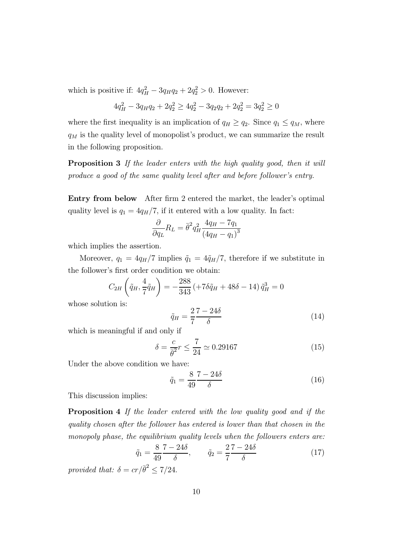which is positive if:  $4q_H^2 - 3q_H q_2 + 2q_2^2 > 0$ . However:

$$
4q_H^2 - 3q_H q_2 + 2q_2^2 \ge 4q_2^2 - 3q_2 q_2 + 2q_2^2 = 3q_2^2 \ge 0
$$

where the first inequality is an implication of  $q_H \ge q_2$ . Since  $q_1 \le q_M$ , where  $\mathfrak{q}_M$  is the quality level of monopolist's product, we can summarize the result in the following proposition.

Proposition 3 If the leader enters with the high quality good, then it will produce a good of the same quality level after and before follower's entry.

Entry from below After firm 2 entered the market, the leader's optimal quality level is  $q_1 = 4q_H/7$ , if it entered with a low quality. In fact:

$$
\frac{\partial}{\partial q_L} R_L = \bar{\theta}^2 q_H^2 \frac{4q_H - 7q_1}{(4q_H - q_1)^3}
$$

which implies the assertion.

Moreover,  $q_1 = 4q_H/7$  implies  $\tilde{q}_1 = 4\tilde{q}_H/7$ , therefore if we substitute in the follower's first order condition we obtain:

$$
C_{2H}\left(\tilde{q}_H, \frac{4}{7}\tilde{q}_H\right) = -\frac{288}{343} \left(+7\delta\tilde{q}_H + 48\delta - 14\right)\tilde{q}_H^3 = 0
$$

whose solution is:

$$
\tilde{q}_H = \frac{2}{7} \frac{7 - 24\delta}{\delta} \tag{14}
$$

which is meaningful if and only if

$$
\delta = \frac{c}{\bar{\theta}^2} r \le \frac{7}{24} \simeq 0.29167\tag{15}
$$

Under the above condition we have:

$$
\tilde{q}_1 = \frac{8}{49} \frac{7 - 24\delta}{\delta} \tag{16}
$$

This discussion implies:

Proposition 4 If the leader entered with the low quality good and if the quality chosen after the follower has entered is lower than that chosen in the monopoly phase, the equilibrium quality levels when the followers enters are:

$$
\tilde{q}_1 = \frac{8}{49} \frac{7 - 24\delta}{\delta}, \qquad \tilde{q}_2 = \frac{2}{7} \frac{7 - 24\delta}{\delta} \tag{17}
$$

provided that:  $\delta = cr/\bar{\theta}^2 \leq 7/24$ .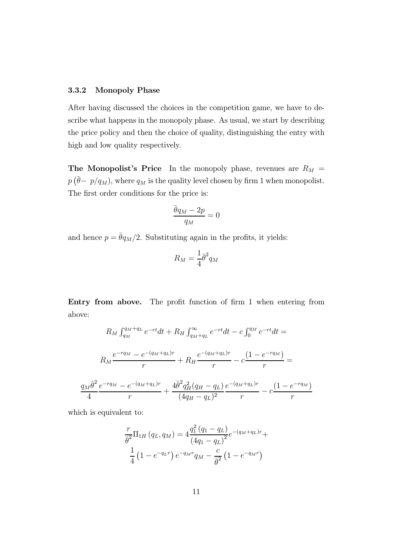#### 3.3.2 Monopoly Phase

After having discussed the choices in the competition game, we have to describe what happens in the monopoly phase. As usual, we start by describing the price policy and then the choice of quality, distinguishing the entry with high and low quality respectively.

The Monopolist's Price In the monopoly phase, revenues are  $R_M =$  $p(\bar{\theta}-p/q_M)$ , where  $q_M$  is the quality level chosen by firm 1 when monopolist. The first order conditions for the price is:

$$
\frac{\bar{\theta}q_M - 2p}{q_M} = 0
$$

and hence  $p = \bar{\theta}q_M/2$ . Substituting again in the profits, it yields:

$$
R_M = \frac{1}{4}\bar{\theta}^2 q_M
$$

Entry from above. The profit function of firm 1 when entering from above:

$$
R_M \int_{q_M}^{q_M+q_L} e^{-rt} dt + R_H \int_{q_M+q_L}^{\infty} e^{-rt} dt - c \int_0^{q_M} e^{-rt} dt =
$$
  

$$
R_M \frac{e^{-r q_M} - e^{-(q_M+q_L)r}}{r} + R_H \frac{e^{-(q_M+q_L)r}}{r} - c \frac{(1 - e^{-r q_M})}{r} =
$$
  

$$
\frac{q_M \bar{\theta}^2}{4} \frac{e^{-r q_M} - e^{-(q_M+q_L)r}}{r} + \frac{4\bar{\theta}^2 q_H^2 (q_H - q_L)}{(4q_H - q_L)^2} \frac{e^{-(q_M+q_L)r}}{r} - c \frac{(1 - e^{-r q_M})}{r}
$$

which is equivalent to:

$$
\frac{r}{\bar{\theta}^2} \Pi_{1H} (q_L, q_M) = 4 \frac{q_1^2 (q_1 - q_L)}{(4q_1 - q_L)^2} e^{-(q_M + q_L)r} +
$$
  

$$
\frac{1}{4} (1 - e^{-q_L r}) e^{-q_M r} q_M - \frac{c}{\bar{\theta}^2} (1 - e^{-q_M r})
$$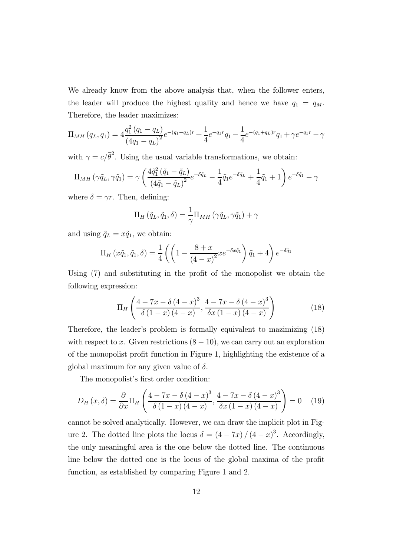We already know from the above analysis that, when the follower enters, the leader will produce the highest quality and hence we have  $q_1 = q_M$ . Therefore, the leader maximizes:

$$
\Pi_{MH}(q_L, q_1) = 4 \frac{q_1^2 (q_1 - q_L)}{(4q_1 - q_L)^2} e^{-(q_1 + q_L)r} + \frac{1}{4} e^{-q_1 r} q_1 - \frac{1}{4} e^{-(q_1 + q_L)r} q_1 + \gamma e^{-q_1 r} - \gamma
$$

with  $\gamma = c/\bar{\theta}^2$ . Using the usual variable transformations, we obtain:

$$
\Pi_{MH}(\gamma \tilde{q}_L, \gamma \tilde{q}_1) = \gamma \left( \frac{4\tilde{q}_1^2 (\tilde{q}_1 - \tilde{q}_L)}{(4\tilde{q}_1 - \tilde{q}_L)^2} e^{-\delta \tilde{q}_L} - \frac{1}{4} \tilde{q}_1 e^{-\delta \tilde{q}_L} + \frac{1}{4} \tilde{q}_1 + 1 \right) e^{-\delta \tilde{q}_1} - \gamma
$$

where  $\delta = \gamma r$ . Then, defining:

$$
\Pi_H(\tilde{q}_L, \tilde{q}_1, \delta) = \frac{1}{\gamma} \Pi_{MH}(\gamma \tilde{q}_L, \gamma \tilde{q}_1) + \gamma
$$

and using  $\tilde{q}_L = x\tilde{q}_1$ , we obtain:

$$
\Pi_H\left(x\tilde{q}_1,\tilde{q}_1,\delta\right) = \frac{1}{4}\left(\left(1 - \frac{8+x}{\left(4-x\right)^2}xe^{-\delta x\tilde{q}_1}\right)\tilde{q}_1 + 4\right)e^{-\delta\tilde{q}_1}
$$

Using (7) and substituting in the profit of the monopolist we obtain the following expression:

$$
\Pi_{H}\left(\frac{4-7x-\delta(4-x)^{3}}{\delta(1-x)(4-x)},\frac{4-7x-\delta(4-x)^{3}}{\delta x(1-x)(4-x)}\right)
$$
(18)

Therefore, the leader's problem is formally equivalent to mazimizing (18) with respect to x. Given restrictions  $(8 - 10)$ , we can carry out an exploration of the monopolist profit function in Figure 1, highlighting the existence of a global maximum for any given value of  $\delta$ .

The monopolist's first order condition:

$$
D_H(x,\delta) = \frac{\partial}{\partial x} \Pi_H \left( \frac{4 - 7x - \delta (4 - x)^3}{\delta (1 - x) (4 - x)}, \frac{4 - 7x - \delta (4 - x)^3}{\delta x (1 - x) (4 - x)} \right) = 0 \quad (19)
$$

cannot be solved analytically. However, we can draw the implicit plot in Figure 2. The dotted line plots the locus  $\delta = (4 - 7x)/(4 - x)^3$ . Accordingly, the only meaningful area is the one below the dotted line. The continuous line below the dotted one is the locus of the global maxima of the profit function, as established by comparing Figure 1 and 2.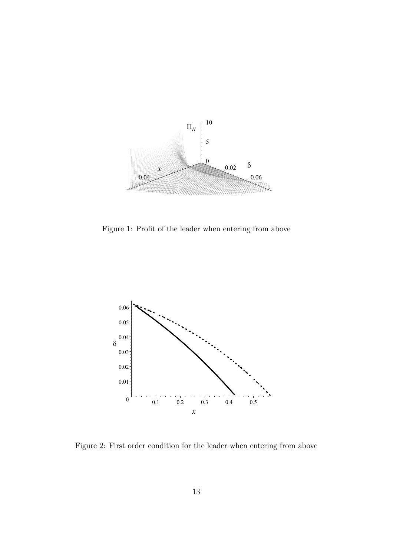

Figure 1: Profit of the leader when entering from above



Figure 2: First order condition for the leader when entering from above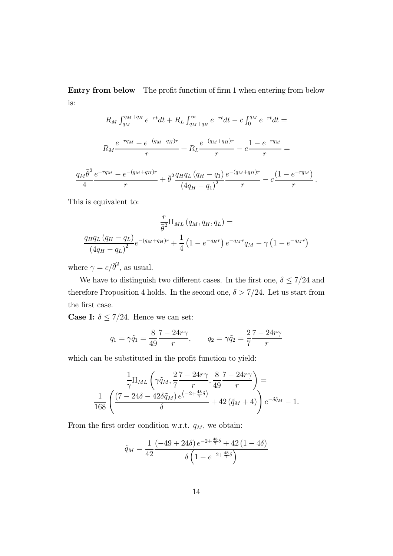Entry from below The profit function of firm 1 when entering from below is:

$$
R_M \int_{q_M}^{q_M+q_H} e^{-rt} dt + R_L \int_{q_M+q_H}^{\infty} e^{-rt} dt - c \int_0^{q_M} e^{-rt} dt =
$$
  

$$
R_M \frac{e^{-r q_M} - e^{-(q_M+q_H)r}}{r} + R_L \frac{e^{-(q_M+q_H)r}}{r} - c \frac{1 - e^{-r q_M}}{r} =
$$
  

$$
\frac{q_M \bar{\theta}^2}{4} \frac{e^{-r q_M} - e^{-(q_M+q_H)r}}{r} + \bar{\theta}^2 \frac{q_H q_L (q_H - q_1)}{(4q_H - q_1)^2} \frac{e^{-(q_M+q_H)r}}{r} - c \frac{(1 - e^{-r q_M})}{r}.
$$

This is equivalent to:

$$
\frac{r}{\bar{\theta}^{2}}\Pi_{ML}(q_{M}, q_{H}, q_{L}) =
$$
\n
$$
\frac{q_{H}q_{L}(q_{H} - q_{L})}{(4q_{H} - q_{L})^{2}}e^{-(q_{M} + q_{H})r} + \frac{1}{4}(1 - e^{-q_{H}r})e^{-q_{M}r}q_{M} - \gamma(1 - e^{-q_{M}r})
$$

where  $\gamma = c/\bar{\theta}^2$ , as usual.

We have to distinguish two different cases. In the first one,  $\delta \le 7/24$  and therefore Proposition 4 holds. In the second one,  $\delta > 7/24$ . Let us start from the first case.

**Case I:**  $\delta \leq 7/24$ . Hence we can set:

$$
q_1 = \gamma \tilde{q}_1 = \frac{8}{49} \frac{7 - 24r\gamma}{r},
$$
  $q_2 = \gamma \tilde{q}_2 = \frac{2}{7} \frac{7 - 24r\gamma}{r}$ 

which can be substituted in the profit function to yield:

$$
\frac{1}{\gamma} \Pi_{ML} \left( \gamma \tilde{q}_M, \frac{2}{7} \frac{7 - 24r\gamma}{r}, \frac{8}{49} \frac{7 - 24r\gamma}{r} \right) = \n\frac{1}{168} \left( \frac{(7 - 24\delta - 42\delta \tilde{q}_M) e^{\left(-2 + \frac{48}{7}\delta\right)}}{\delta} + 42 \left(\tilde{q}_M + 4\right) \right) e^{-\delta \tilde{q}_M} - 1.
$$

From the first order condition w.r.t.  $q_M$ , we obtain:

$$
\tilde{q}_M = \frac{1}{42} \frac{\left(-49 + 24\delta\right)e^{-2 + \frac{48}{7}\delta} + 42\left(1 - 4\delta\right)}{\delta \left(1 - e^{-2 + \frac{48}{7}\delta}\right)}
$$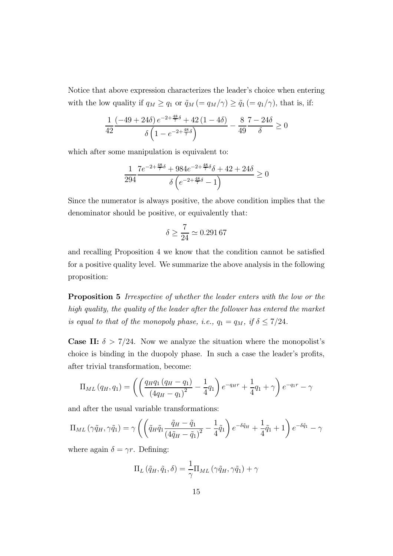Notice that above expression characterizes the leader's choice when entering with the low quality if  $q_M \ge q_1$  or  $\tilde{q}_M = q_M/\gamma$ )  $\ge \tilde{q}_1 = q_1/\gamma$ , that is, if:

$$
\frac{1}{42} \frac{\left(-49 + 24 \delta\right) e^{-2 + \frac{48}{7} \delta} + 42 \left(1 - 4 \delta\right)}{\delta \left(1 - e^{-2 + \frac{48}{7} \delta}\right)} - \frac{8}{49} \frac{7 - 24 \delta}{\delta} \ge 0
$$

which after some manipulation is equivalent to:

$$
\frac{1}{294} \frac{7e^{-2+\frac{48}{7}\delta} + 984e^{-2+\frac{48}{7}\delta}\delta + 42 + 24\delta}{\delta \left(e^{-2+\frac{48}{7}\delta} - 1\right)} \ge 0
$$

Since the numerator is always positive, the above condition implies that the denominator should be positive, or equivalently that:

$$
\delta \geq \frac{7}{24} \simeq 0.291\,67
$$

and recalling Proposition 4 we know that the condition cannot be satisfied for a positive quality level. We summarize the above analysis in the following proposition:

Proposition 5 Irrespective of whether the leader enters with the low or the high quality, the quality of the leader after the follower has entered the market is equal to that of the monopoly phase, i.e.,  $q_1 = q_M$ , if  $\delta \leq 7/24$ .

**Case II:**  $\delta > 7/24$ . Now we analyze the situation where the monopolist's choice is binding in the duopoly phase. In such a case the leader's profits, after trivial transformation, become:

$$
\Pi_{ML}(q_H, q_1) = \left( \left( \frac{q_H q_1 (q_H - q_1)}{(4q_H - q_1)^2} - \frac{1}{4} q_1 \right) e^{-q_H r} + \frac{1}{4} q_1 + \gamma \right) e^{-q_1 r} - \gamma
$$

and after the usual variable transformations:

$$
\Pi_{ML}(\gamma \tilde{q}_H, \gamma \tilde{q}_1) = \gamma \left( \left( \tilde{q}_H \tilde{q}_1 \frac{\tilde{q}_H - \tilde{q}_1}{\left( 4\tilde{q}_H - \tilde{q}_1 \right)^2} - \frac{1}{4} \tilde{q}_1 \right) e^{-\delta \tilde{q}_H} + \frac{1}{4} \tilde{q}_1 + 1 \right) e^{-\delta \tilde{q}_1} - \gamma
$$

where again  $\delta = \gamma r$ . Defining:

$$
\Pi_L(\tilde{q}_H, \tilde{q}_1, \delta) = \frac{1}{\gamma} \Pi_{ML}(\gamma \tilde{q}_H, \gamma \tilde{q}_1) + \gamma
$$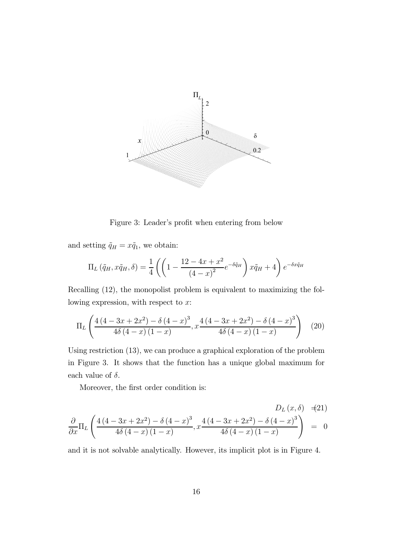

Figure 3: Leader's profit when entering from below

and setting  $\tilde{q}_H = x\tilde{q}_1$ , we obtain:

$$
\Pi_L(\tilde{q}_H, x\tilde{q}_H, \delta) = \frac{1}{4} \left( \left( 1 - \frac{12 - 4x + x^2}{\left( 4 - x \right)^2} e^{-\delta \tilde{q}_H} \right) x\tilde{q}_H + 4 \right) e^{-\delta x \tilde{q}_H}
$$

Recalling (12), the monopolist problem is equivalent to maximizing the following expression, with respect to  $x$ :

$$
\Pi_{L}\left(\frac{4(4-3x+2x^{2})-\delta(4-x)^{3}}{4\delta(4-x)(1-x)}, x\frac{4(4-3x+2x^{2})-\delta(4-x)^{3}}{4\delta(4-x)(1-x)}\right) (20)
$$

Using restriction (13), we can produce a graphical exploration of the problem in Figure 3. It shows that the function has a unique global maximum for each value of  $\delta$ .

Moreover, the first order condition is:

$$
D_L(x,\delta) = (21)
$$
  
\n
$$
\frac{\partial}{\partial x} \Pi_L \left( \frac{4(4-3x+2x^2) - \delta(4-x)^3}{4\delta(4-x)(1-x)}, x \frac{4(4-3x+2x^2) - \delta(4-x)^3}{4\delta(4-x)(1-x)} \right) = 0
$$

and it is not solvable analytically. However, its implicit plot is in Figure 4.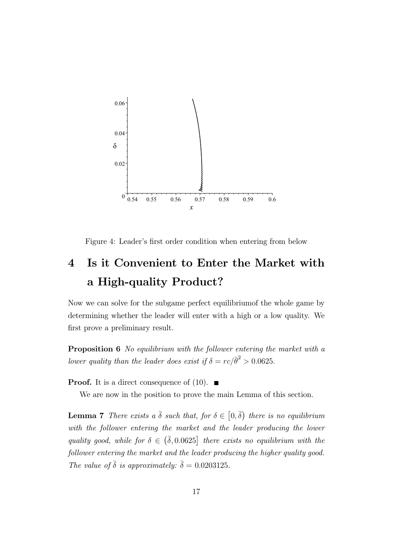

Figure 4: Leader's first order condition when entering from below

# 4 Is it Convenient to Enter the Market with a High-quality Product?

Now we can solve for the subgame perfect equilibriumof the whole game by determining whether the leader will enter with a high or a low quality. We first prove a preliminary result.

Proposition 6 No equilibrium with the follower entering the market with a lower quality than the leader does exist if  $\delta = rc/\bar{\theta}^2 > 0.0625$ .

**Proof.** It is a direct consequence of (10).  $\blacksquare$ 

We are now in the position to prove the main Lemma of this section.

**Lemma 7** There exists a  $\bar{\delta}$  such that, for  $\delta \in [0, \bar{\delta})$  there is no equilibrium with the follower entering the market and the leader producing the lower quality good, while for  $\delta \in (\bar{\delta}, 0.0625]$  there exists no equilibrium with the follower entering the market and the leader producing the higher quality good. The value of  $\bar{\delta}$  is approximately:  $\bar{\delta} = 0.0203125$ .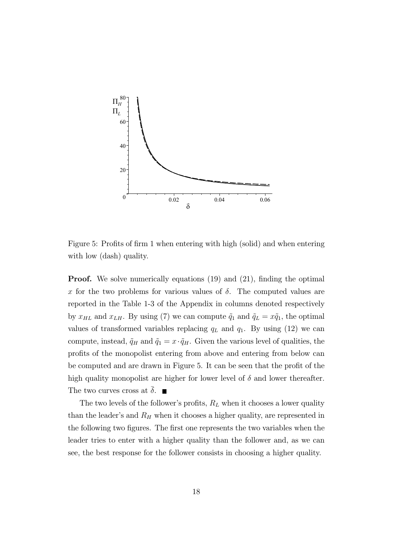

Figure 5: Profits of firm 1 when entering with high (solid) and when entering with low (dash) quality.

**Proof.** We solve numerically equations (19) and (21), finding the optimal x for the two problems for various values of  $\delta$ . The computed values are reported in the Table 1-3 of the Appendix in columns denoted respectively by  $x_{HL}$  and  $x_{LH}$ . By using (7) we can compute  $\tilde{q}_1$  and  $\tilde{q}_L = x\tilde{q}_1$ , the optimal values of transformed variables replacing  $q_L$  and  $q_1$ . By using (12) we can compute, instead,  $\tilde{q}_H$  and  $\tilde{q}_1 = x \cdot \tilde{q}_H$ . Given the various level of qualities, the profits of the monopolist entering from above and entering from below can be computed and are drawn in Figure 5. It can be seen that the profit of the high quality monopolist are higher for lower level of  $\delta$  and lower thereafter. The two curves cross at  $\bar{\delta}$ .

The two levels of the follower's profits,  $R_L$  when it chooses a lower quality than the leader's and  $R_H$  when it chooses a higher quality, are represented in the following two figures. The first one represents the two variables when the leader tries to enter with a higher quality than the follower and, as we can see, the best response for the follower consists in choosing a higher quality.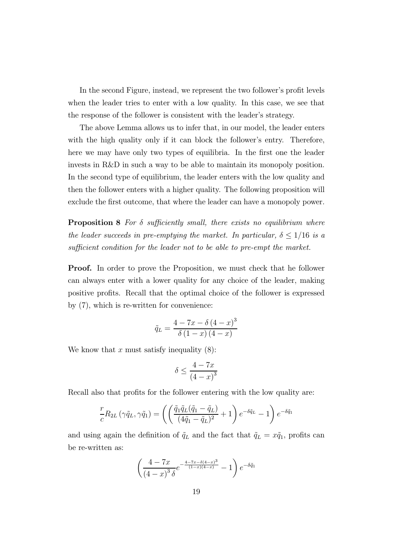In the second Figure, instead, we represent the two follower's profit levels when the leader tries to enter with a low quality. In this case, we see that the response of the follower is consistent with the leader's strategy.

The above Lemma allows us to infer that, in our model, the leader enters with the high quality only if it can block the follower's entry. Therefore, here we may have only two types of equilibria. In the first one the leader invests in R&D in such a way to be able to maintain its monopoly position. In the second type of equilibrium, the leader enters with the low quality and then the follower enters with a higher quality. The following proposition will exclude the first outcome, that where the leader can have a monopoly power.

**Proposition 8** For  $\delta$  sufficiently small, there exists no equilibrium where the leader succeeds in pre-emptying the market. In particular,  $\delta \leq 1/16$  is a sufficient condition for the leader not to be able to pre-empt the market.

Proof. In order to prove the Proposition, we must check that he follower can always enter with a lower quality for any choice of the leader, making positive profits. Recall that the optimal choice of the follower is expressed by (7), which is re-written for convenience:

$$
\tilde{q}_L = \frac{4 - 7x - \delta(4 - x)^3}{\delta(1 - x)(4 - x)}
$$

We know that x must satisfy inequality  $(8)$ :

$$
\delta \le \frac{4 - 7x}{\left(4 - x\right)^3}
$$

Recall also that profits for the follower entering with the low quality are:

$$
\frac{r}{c}R_{2L}(\gamma \tilde{q}_L, \gamma \tilde{q}_1) = \left( \left( \frac{\tilde{q}_1 \tilde{q}_L (\tilde{q}_1 - \tilde{q}_L)}{(4\tilde{q}_1 - \tilde{q}_L)^2} + 1 \right) e^{-\delta \tilde{q}_L} - 1 \right) e^{-\delta \tilde{q}_1}
$$

and using again the definition of  $\tilde{q}_L$  and the fact that  $\tilde{q}_L = x\tilde{q}_1$ , profits can be re-written as:

$$
\left(\frac{4-7x}{\left(4-x\right)^3 \delta} e^{-\frac{4-7x-\delta(4-x)^3}{(1-x)(4-x)}} - 1\right) e^{-\delta \tilde{q}_1}
$$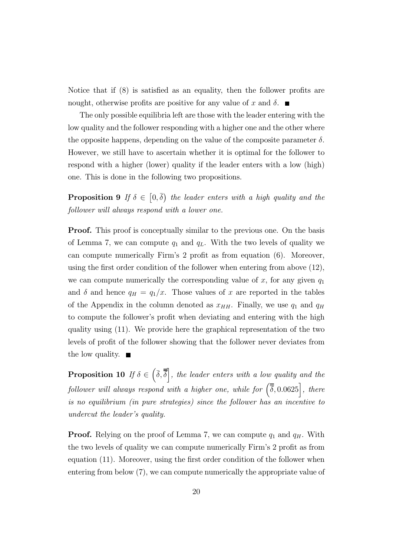Notice that if (8) is satisfied as an equality, then the follower profits are nought, otherwise profits are positive for any value of x and  $\delta$ .

The only possible equilibria left are those with the leader entering with the low quality and the follower responding with a higher one and the other where the opposite happens, depending on the value of the composite parameter  $\delta$ . However, we still have to ascertain whether it is optimal for the follower to respond with a higher (lower) quality if the leader enters with a low (high) one. This is done in the following two propositions.

**Proposition 9** If  $\delta \in [0, \overline{\delta})$  the leader enters with a high quality and the follower will always respond with a lower one.

**Proof.** This proof is conceptually similar to the previous one. On the basis of Lemma 7, we can compute  $q_1$  and  $q_L$ . With the two levels of quality we can compute numerically Firm's 2 profit as from equation (6). Moreover, using the first order condition of the follower when entering from above (12), we can compute numerically the corresponding value of x, for any given  $q_1$ and  $\delta$  and hence  $q_H = q_1/x$ . Those values of x are reported in the tables of the Appendix in the column denoted as  $x_{HH}$ . Finally, we use  $q_1$  and  $q_H$ to compute the follower's profit when deviating and entering with the high quality using (11). We provide here the graphical representation of the two levels of profit of the follower showing that the follower never deviates from the low quality.  $\blacksquare$ 

**Proposition 10** If  $\delta \in \left(\bar{\delta}, \bar{\bar{\delta}}\right]$ , the leader enters with a low quality and the follower will always respond with a higher one, while for  $(\overline{\overline{\delta}}, 0.0625)$ , there is no equilibrium (in pure strategies) since the follower has an incentive to undercut the leader's quality.

**Proof.** Relying on the proof of Lemma 7, we can compute  $q_1$  and  $q_H$ . With the two levels of quality we can compute numerically Firm's 2 profit as from equation (11). Moreover, using the first order condition of the follower when entering from below (7), we can compute numerically the appropriate value of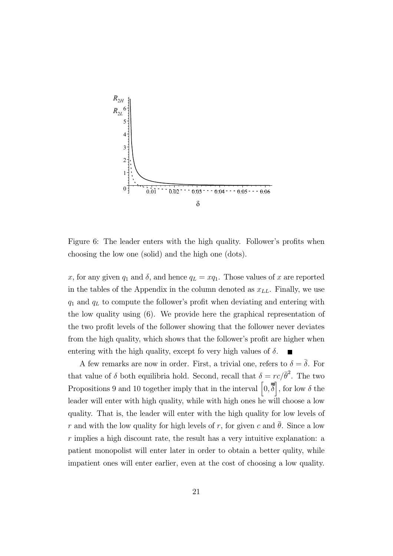

Figure 6: The leader enters with the high quality. Follower's profits when choosing the low one (solid) and the high one (dots).

x, for any given  $q_1$  and  $\delta$ , and hence  $q_L = xq_1$ . Those values of x are reported in the tables of the Appendix in the column denoted as  $x_{LL}$ . Finally, we use  $q_1$  and  $q_L$  to compute the follower's profit when deviating and entering with the low quality using (6). We provide here the graphical representation of the two profit levels of the follower showing that the follower never deviates from the high quality, which shows that the follower's profit are higher when entering with the high quality, except fo very high values of  $\delta$ .

A few remarks are now in order. First, a trivial one, refers to  $\delta = \overline{\delta}$ . For that value of  $\delta$  both equilibria hold. Second, recall that  $\delta = rc/\bar{\theta}^2$ . The two Propositions 9 and 10 together imply that in the interval  $\left[0,\overline{\overline{\delta}}\right]$ , for low  $\delta$  the leader will enter with high quality, while with high ones he will choose a low quality. That is, the leader will enter with the high quality for low levels of r and with the low quality for high levels of r, for given c and  $\theta$ . Since a low r implies a high discount rate, the result has a very intuitive explanation: a patient monopolist will enter later in order to obtain a better qulity, while impatient ones will enter earlier, even at the cost of choosing a low quality.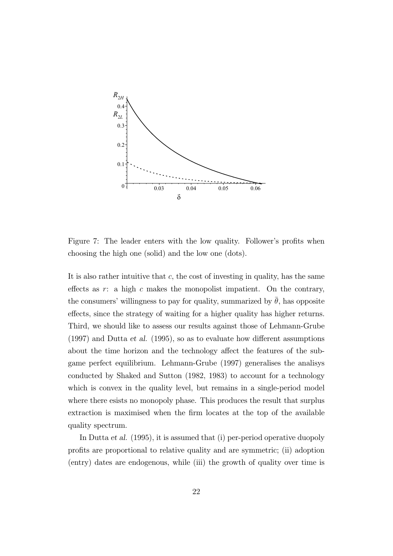

Figure 7: The leader enters with the low quality. Follower's profits when choosing the high one (solid) and the low one (dots).

It is also rather intuitive that  $c$ , the cost of investing in quality, has the same effects as  $r:$  a high  $c$  makes the monopolist impatient. On the contrary, the consumers' willingness to pay for quality, summarized by  $\theta$ , has opposite effects, since the strategy of waiting for a higher quality has higher returns. Third, we should like to assess our results against those of Lehmann-Grube (1997) and Dutta et al. (1995), so as to evaluate how different assumptions about the time horizon and the technology affect the features of the subgame perfect equilibrium. Lehmann-Grube (1997) generalises the analisys conducted by Shaked and Sutton (1982, 1983) to account for a technology which is convex in the quality level, but remains in a single-period model where there esists no monopoly phase. This produces the result that surplus extraction is maximised when the firm locates at the top of the available quality spectrum.

In Dutta et al. (1995), it is assumed that (i) per-period operative duopoly profits are proportional to relative quality and are symmetric; (ii) adoption (entry) dates are endogenous, while (iii) the growth of quality over time is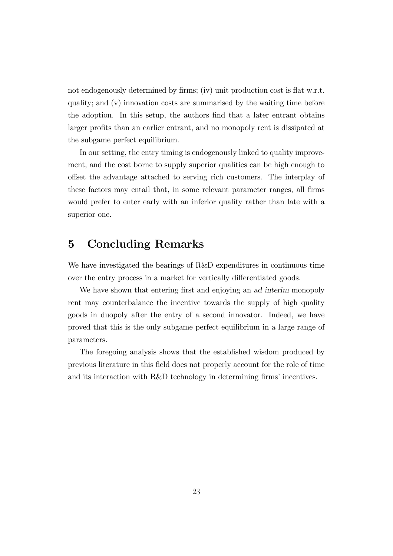not endogenously determined by firms; (iv) unit production cost is flat w.r.t. quality; and (v) innovation costs are summarised by the waiting time before the adoption. In this setup, the authors find that a later entrant obtains larger profits than an earlier entrant, and no monopoly rent is dissipated at the subgame perfect equilibrium.

In our setting, the entry timing is endogenously linked to quality improvement, and the cost borne to supply superior qualities can be high enough to offset the advantage attached to serving rich customers. The interplay of these factors may entail that, in some relevant parameter ranges, all firms would prefer to enter early with an inferior quality rather than late with a superior one.

# 5 Concluding Remarks

We have investigated the bearings of R&D expenditures in continuous time over the entry process in a market for vertically differentiated goods.

We have shown that entering first and enjoying an ad interim monopoly rent may counterbalance the incentive towards the supply of high quality goods in duopoly after the entry of a second innovator. Indeed, we have proved that this is the only subgame perfect equilibrium in a large range of parameters.

The foregoing analysis shows that the established wisdom produced by previous literature in this field does not properly account for the role of time and its interaction with R&D technology in determining firms' incentives.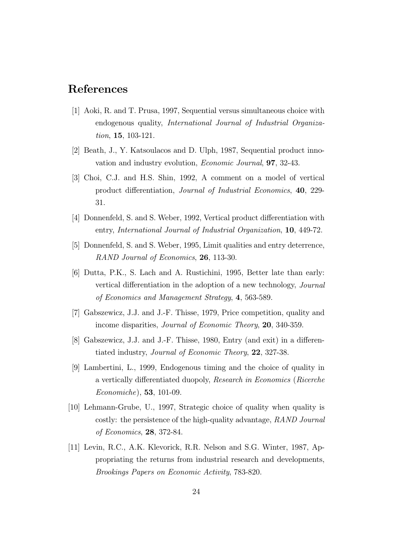# References

- [1] Aoki, R. and T. Prusa, 1997, Sequential versus simultaneous choice with endogenous quality, International Journal of Industrial Organization, 15, 103-121.
- [2] Beath, J., Y. Katsoulacos and D. Ulph, 1987, Sequential product innovation and industry evolution, Economic Journal, 97, 32-43.
- [3] Choi, C.J. and H.S. Shin, 1992, A comment on a model of vertical product differentiation, Journal of Industrial Economics, 40, 229- 31.
- [4] Donnenfeld, S. and S. Weber, 1992, Vertical product differentiation with entry, International Journal of Industrial Organization, 10, 449-72.
- [5] Donnenfeld, S. and S. Weber, 1995, Limit qualities and entry deterrence, RAND Journal of Economics, 26, 113-30.
- [6] Dutta, P.K., S. Lach and A. Rustichini, 1995, Better late than early: vertical differentiation in the adoption of a new technology, Journal of Economics and Management Strategy, 4, 563-589.
- [7] Gabszewicz, J.J. and J.-F. Thisse, 1979, Price competition, quality and income disparities, Journal of Economic Theory, 20, 340-359.
- [8] Gabszewicz, J.J. and J.-F. Thisse, 1980, Entry (and exit) in a differentiated industry, Journal of Economic Theory, 22, 327-38.
- [9] Lambertini, L., 1999, Endogenous timing and the choice of quality in a vertically differentiated duopoly, Research in Economics (Ricerche Economiche), 53, 101-09.
- [10] Lehmann-Grube, U., 1997, Strategic choice of quality when quality is costly: the persistence of the high-quality advantage, RAND Journal of Economics, 28, 372-84.
- [11] Levin, R.C., A.K. Klevorick, R.R. Nelson and S.G. Winter, 1987, Appropriating the returns from industrial research and developments, Brookings Papers on Economic Activity, 783-820.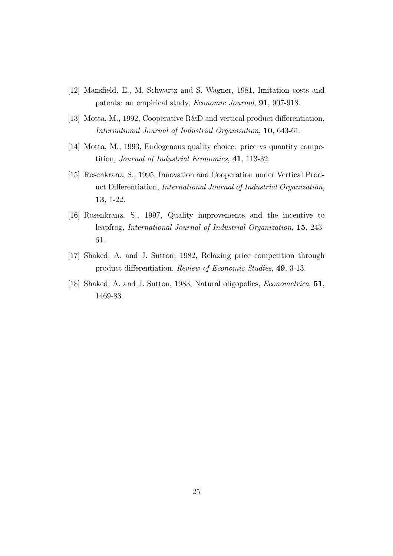- [12] Mansfield, E., M. Schwartz and S. Wagner, 1981, Imitation costs and patents: an empirical study, Economic Journal, 91, 907-918.
- [13] Motta, M., 1992, Cooperative R&D and vertical product differentiation, International Journal of Industrial Organization, 10, 643-61.
- [14] Motta, M., 1993, Endogenous quality choice: price vs quantity competition, Journal of Industrial Economics, 41, 113-32.
- [15] Rosenkranz, S., 1995, Innovation and Cooperation under Vertical Product Differentiation, International Journal of Industrial Organization, 13, 1-22.
- [16] Rosenkranz, S., 1997, Quality improvements and the incentive to leapfrog, International Journal of Industrial Organization, 15, 243- 61.
- [17] Shaked, A. and J. Sutton, 1982, Relaxing price competition through product differentiation, Review of Economic Studies, 49, 3-13.
- [18] Shaked, A. and J. Sutton, 1983, Natural oligopolies, Econometrica, 51, 1469-83.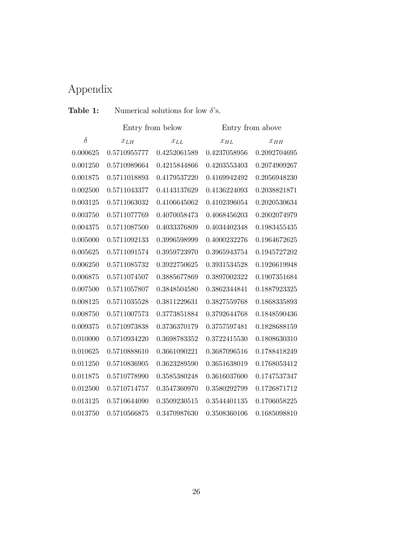# Appendix

## **Table 1:** Numerical solutions for low  $\delta$ 's.

|          | Entry from below |              | Entry from above |              |
|----------|------------------|--------------|------------------|--------------|
| $\delta$ | $x_{LH}$         | $x_{LL}$     | $x_{HL}$         | $x_{HH}$     |
| 0.000625 | 0.5710955777     | 0.4252061589 | 0.4237058956     | 0.2092704695 |
| 0.001250 | 0.5710989664     | 0.4215844866 | 0.4203553403     | 0.2074909267 |
| 0.001875 | 0.5711018893     | 0.4179537220 | 0.4169942492     | 0.2056948230 |
| 0.002500 | 0.5711043377     | 0.4143137629 | 0.4136224093     | 0.2038821871 |
| 0.003125 | 0.5711063032     | 0.4106645062 | 0.4102396054     | 0.2020530634 |
| 0.003750 | 0.5711077769     | 0.4070058473 | 0.4068456203     | 0.2002074979 |
| 0.004375 | 0.5711087500     | 0.4033376809 | 0.4034402348     | 0.1983455435 |
| 0.005000 | 0.5711092133     | 0.3996598999 | 0.4000232276     | 0.1964672625 |
| 0.005625 | 0.5711091574     | 0.3959723970 | 0.3965943754     | 0.1945727202 |
| 0.006250 | 0.5711085732     | 0.3922750625 | 0.3931534528     | 0.1926619948 |
| 0.006875 | 0.5711074507     | 0.3885677869 | 0.3897002322     | 0.1907351684 |
| 0.007500 | 0.5711057807     | 0.3848504580 | 0.3862344841     | 0.1887923325 |
| 0.008125 | 0.5711035528     | 0.3811229631 | 0.3827559768     | 0.1868335893 |
| 0.008750 | 0.5711007573     | 0.3773851884 | 0.3792644768     | 0.1848590436 |
| 0.009375 | 0.5710973838     | 0.3736370179 | 0.3757597481     | 0.1828688159 |
| 0.010000 | 0.5710934220     | 0.3698783352 | 0.3722415530     | 0.1808630310 |
| 0.010625 | 0.5710888610     | 0.3661090221 | 0.3687096516     | 0.1788418249 |
| 0.011250 | 0.5710836905     | 0.3623289590 | 0.3651638019     | 0.1768053412 |
| 0.011875 | 0.5710778990     | 0.3585380248 | 0.3616037600     | 0.1747537347 |
| 0.012500 | 0.5710714757     | 0.3547360970 | 0.3580292799     | 0.1726871712 |
| 0.013125 | 0.5710644090     | 0.3509230515 | 0.3544401135     | 0.1706058225 |
| 0.013750 | 0.5710566875     | 0.3470987630 | 0.3508360106     | 0.1685098810 |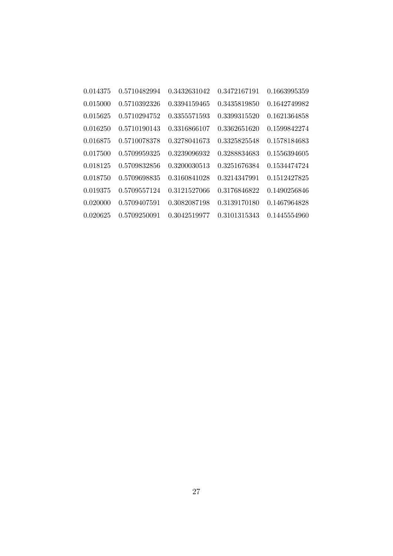| 0.014375 | 0.5710482994 | 0.3432631042 | 0.3472167191 | 0.1663995359 |
|----------|--------------|--------------|--------------|--------------|
| 0.015000 | 0.5710392326 | 0.3394159465 | 0.3435819850 | 0.1642749982 |
| 0.015625 | 0.5710294752 | 0.3355571593 | 0.3399315520 | 0.1621364858 |
| 0.016250 | 0.5710190143 | 0.3316866107 | 0.3362651620 | 0.1599842274 |
| 0.016875 | 0.5710078378 | 0.3278041673 | 0.3325825548 | 0.1578184683 |
| 0.017500 | 0.5709959325 | 0.3239096932 | 0.3288834683 | 0.1556394605 |
| 0.018125 | 0.5709832856 | 0.3200030513 | 0.3251676384 | 0.1534474724 |
| 0.018750 | 0.5709698835 | 0.3160841028 | 0.3214347991 | 0.1512427825 |
| 0.019375 | 0.5709557124 | 0.3121527066 | 0.3176846822 | 0.1490256846 |
| 0.020000 | 0.5709407591 | 0.3082087198 | 0.3139170180 | 0.1467964828 |
| 0.020625 | 0.5709250091 | 0.3042519977 | 0.3101315343 | 0.1445554960 |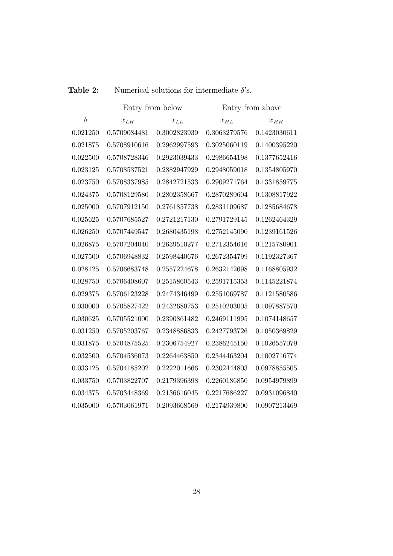| Table 2:<br>Numerical solutions for intermediate $\delta$ 's. |  |
|---------------------------------------------------------------|--|
|---------------------------------------------------------------|--|

|          | Entry from below |              | Entry from above |              |
|----------|------------------|--------------|------------------|--------------|
| $\delta$ | $x_{LH}$         | $x_{LL}$     | $x_{HL}$         | $x_{HH}$     |
| 0.021250 | 0.5709084481     | 0.3002823939 | 0.3063279576     | 0.1423030611 |
| 0.021875 | 0.5708910616     | 0.2962997593 | 0.3025060119     | 0.1400395220 |
| 0.022500 | 0.5708728346     | 0.2923039433 | 0.2986654198     | 0.1377652416 |
| 0.023125 | 0.5708537521     | 0.2882947929 | 0.2948059018     | 0.1354805970 |
| 0.023750 | 0.5708337985     | 0.2842721533 | 0.2909271764     | 0.1331859775 |
| 0.024375 | 0.5708129580     | 0.2802358667 | 0.2870289604     | 0.1308817922 |
| 0.025000 | 0.5707912150     | 0.2761857738 | 0.2831109687     | 0.1285684678 |
| 0.025625 | 0.5707685527     | 0.2721217130 | 0.2791729145     | 0.1262464329 |
| 0.026250 | 0.5707449547     | 0.2680435198 | 0.2752145090     | 0.1239161526 |
| 0.026875 | 0.5707204040     | 0.2639510277 | 0.2712354616     | 0.1215780901 |
| 0.027500 | 0.5706948832     | 0.2598440676 | 0.2672354799     | 0.1192327367 |
| 0.028125 | 0.5706683748     | 0.2557224678 | 0.2632142698     | 0.1168805932 |
| 0.028750 | 0.5706408607     | 0.2515860543 | 0.2591715353     | 0.1145221874 |
| 0.029375 | 0.5706123228     | 0.2474346499 | 0.2551069787     | 0.1121580586 |
| 0.030000 | 0.5705827422     | 0.2432680753 | 0.2510203005     | 0.1097887570 |
| 0.030625 | 0.5705521000     | 0.2390861482 | 0.2469111995     | 0.1074148657 |
| 0.031250 | 0.5705203767     | 0.2348886833 | 0.2427793726     | 0.1050369829 |
| 0.031875 | 0.5704875525     | 0.2306754927 | 0.2386245150     | 0.1026557079 |
| 0.032500 | 0.5704536073     | 0.2264463850 | 0.2344463204     | 0.1002716774 |
| 0.033125 | 0.5704185202     | 0.2222011666 | 0.2302444803     | 0.0978855505 |
| 0.033750 | 0.5703822707     | 0.2179396398 | 0.2260186850     | 0.0954979899 |
| 0.034375 | 0.5703448369     | 0.2136616045 | 0.2217686227     | 0.0931096840 |
| 0.035000 | 0.5703061971     | 0.2093668569 | 0.2174939800     | 0.0907213469 |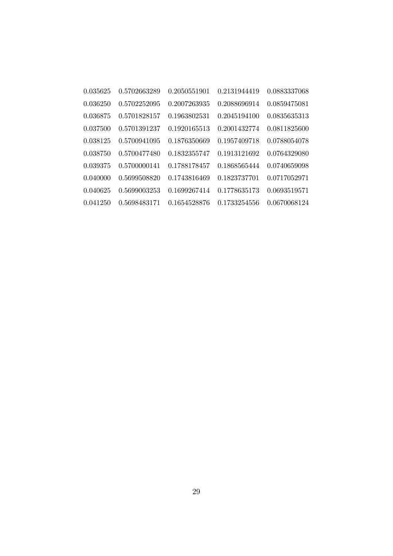| 0.035625 | 0.5702663289 | 0.2050551901 | 0.2131944419 | 0.0883337068 |
|----------|--------------|--------------|--------------|--------------|
| 0.036250 | 0.5702252095 | 0.2007263935 | 0.2088696914 | 0.0859475081 |
| 0.036875 | 0.5701828157 | 0.1963802531 | 0.2045194100 | 0.0835635313 |
| 0.037500 | 0.5701391237 | 0.1920165513 | 0.2001432774 | 0.0811825600 |
| 0.038125 | 0.5700941095 | 0.1876350669 | 0.1957409718 | 0.0788054078 |
| 0.038750 | 0.5700477480 | 0.1832355747 | 0.1913121692 | 0.0764329080 |
| 0.039375 | 0.5700000141 | 0.1788178457 | 0.1868565444 | 0.0740659098 |
| 0.040000 | 0.5699508820 | 0.1743816469 | 0.1823737701 | 0.0717052971 |
| 0.040625 | 0.5699003253 | 0.1699267414 | 0.1778635173 | 0.0693519571 |
| 0.041250 | 0.5698483171 | 0.1654528876 | 0.1733254556 | 0.0670068124 |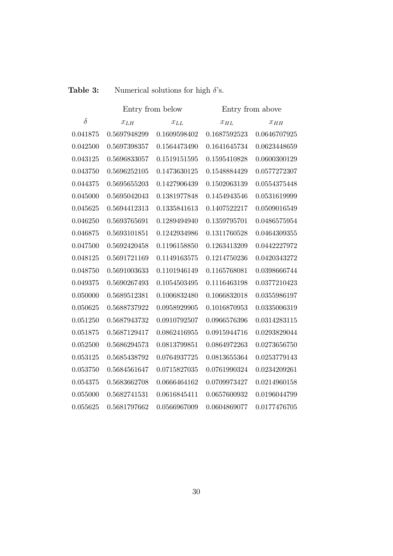|          | Entry from below |              | Entry from above |              |
|----------|------------------|--------------|------------------|--------------|
| $\delta$ | $x_{LH}$         | $x_{LL}$     | $x_{HL}$         | $x_{HH}$     |
| 0.041875 | 0.5697948299     | 0.1609598402 | 0.1687592523     | 0.0646707925 |
| 0.042500 | 0.5697398357     | 0.1564473490 | 0.1641645734     | 0.0623448659 |
| 0.043125 | 0.5696833057     | 0.1519151595 | 0.1595410828     | 0.0600300129 |
| 0.043750 | 0.5696252105     | 0.1473630125 | 0.1548884429     | 0.0577272307 |
| 0.044375 | 0.5695655203     | 0.1427906439 | 0.1502063139     | 0.0554375448 |
| 0.045000 | 0.5695042043     | 0.1381977848 | 0.1454943546     | 0.0531619999 |
| 0.045625 | 0.5694412313     | 0.1335841613 | 0.1407522217     | 0.0509016549 |
| 0.046250 | 0.5693765691     | 0.1289494940 | 0.1359795701     | 0.0486575954 |
| 0.046875 | 0.5693101851     | 0.1242934986 | 0.1311760528     | 0.0464309355 |
| 0.047500 | 0.5692420458     | 0.1196158850 | 0.1263413209     | 0.0442227972 |
| 0.048125 | 0.5691721169     | 0.1149163575 | 0.1214750236     | 0.0420343272 |
| 0.048750 | 0.5691003633     | 0.1101946149 | 0.1165768081     | 0.0398666744 |
| 0.049375 | 0.5690267493     | 0.1054503495 | 0.1116463198     | 0.0377210423 |
| 0.050000 | 0.5689512381     | 0.1006832480 | 0.1066832018     | 0.0355986197 |
| 0.050625 | 0.5688737922     | 0.0958929905 | 0.1016870953     | 0.0335006319 |
| 0.051250 | 0.5687943732     | 0.0910792507 | 0.0966576396     | 0.0314283115 |
| 0.051875 | 0.5687129417     | 0.0862416955 | 0.0915944716     | 0.0293829044 |
| 0.052500 | 0.5686294573     | 0.0813799851 | 0.0864972263     | 0.0273656750 |
| 0.053125 | 0.5685438792     | 0.0764937725 | 0.0813655364     | 0.0253779143 |
| 0.053750 | 0.5684561647     | 0.0715827035 | 0.0761990324     | 0.0234209261 |
| 0.054375 | 0.5683662708     | 0.0666464162 | 0.0709973427     | 0.0214960158 |
| 0.055000 | 0.5682741531     | 0.0616845411 | 0.0657600932     | 0.0196044799 |
| 0.055625 | 0.5681797662     | 0.0566967009 | 0.0604869077     | 0.0177476705 |